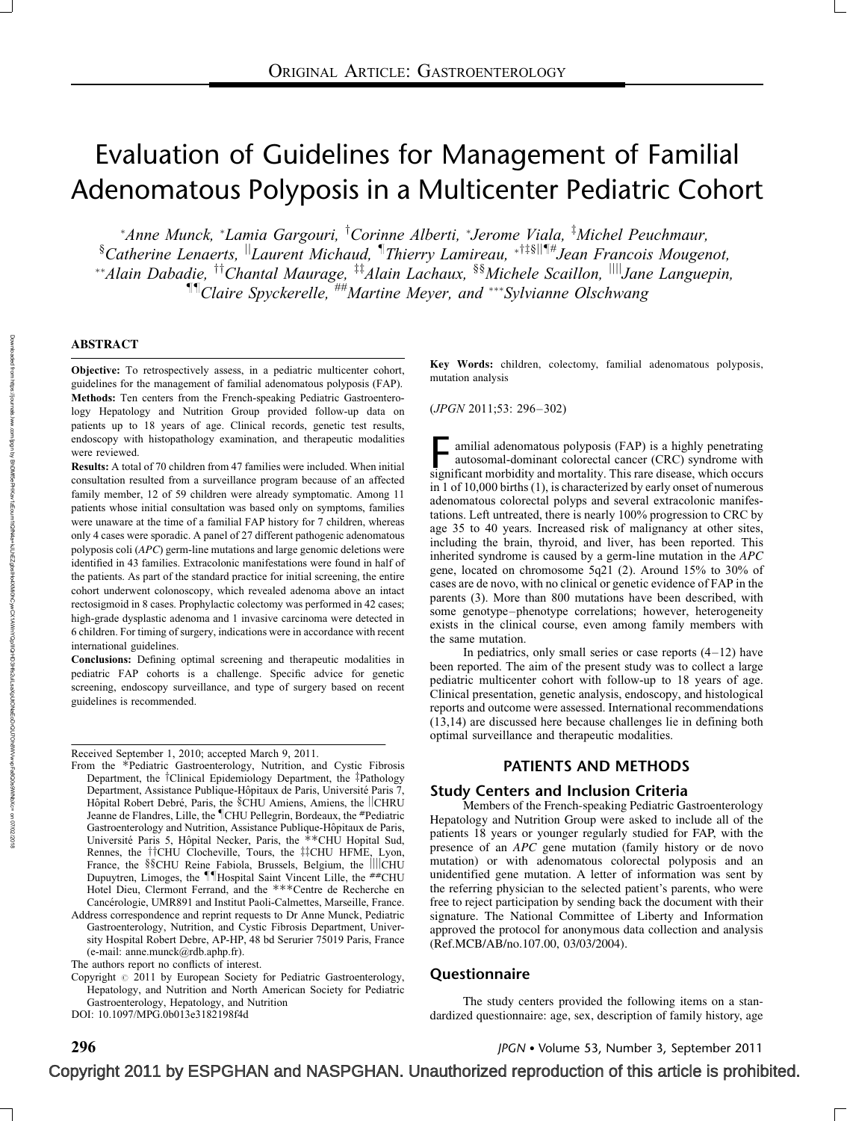# Evaluation of Guidelines for Management of Familial Adenomatous Polyposis in a Multicenter Pediatric Cohort

\*Anne Munck, \*Lamia Gargouri, <sup>†</sup>Corinne Alberti, \*Jerome Viala, <sup>†</sup>Michel Peuchmaur, <sup>§</sup>Catherine Lenaerts, <sup>||</sup>Laurent Michaud, <sup>¶</sup>Thierry Lamireau, \*<sup>†‡§||¶#</sup>Jean Francois Mougenot, \*\*Alain Dabadie, <sup>††</sup>Chantal Maurage, <sup>‡‡</sup>Alain Lachaux, <sup>§§</sup>Michele Scaillon, <sup>||||</sup>Jane Languepin,  $\P$ <sup>[1]</sup> Claire Spyckerelle,  $\#^{\#}$ Martine Meyer, and  $\#^*$ Sylvianne Olschwang

#### ABSTRACT

Objective: To retrospectively assess, in a pediatric multicenter cohort, guidelines for the management of familial adenomatous polyposis (FAP). Methods: Ten centers from the French-speaking Pediatric Gastroenterology Hepatology and Nutrition Group provided follow-up data on patients up to 18 years of age. Clinical records, genetic test results, endoscopy with histopathology examination, and therapeutic modalities were reviewed.

Results: A total of 70 children from 47 families were included. When initial consultation resulted from a surveillance program because of an affected family member, 12 of 59 children were already symptomatic. Among 11 patients whose initial consultation was based only on symptoms, families were unaware at the time of a familial FAP history for 7 children, whereas only 4 cases were sporadic. A panel of 27 different pathogenic adenomatous polyposis coli (APC) germ-line mutations and large genomic deletions were identified in 43 families. Extracolonic manifestations were found in half of the patients. As part of the standard practice for initial screening, the entire cohort underwent colonoscopy, which revealed adenoma above an intact rectosigmoid in 8 cases. Prophylactic colectomy was performed in 42 cases; high-grade dysplastic adenoma and 1 invasive carcinoma were detected in 6 children. For timing of surgery, indications were in accordance with recent international guidelines.

Conclusions: Defining optimal screening and therapeutic modalities in pediatric FAP cohorts is a challenge. Specific advice for genetic screening, endoscopy surveillance, and type of surgery based on recent guidelines is recommended.

Received September 1, 2010; accepted March 9, 2011.

Address correspondence and reprint requests to Dr Anne Munck, Pediatric Gastroenterology, Nutrition, and Cystic Fibrosis Department, University Hospital Robert Debre, AP-HP, 48 bd Serurier 75019 Paris, France (e-mail: [anne.munck@rdb.aphp.fr\)](mailto:anne.munck@rdb.aphp.fr).

Key Words: children, colectomy, familial adenomatous polyposis, mutation analysis

(JPGN 2011;53: 296–302)

 $\overline{\phantom{a}}$  amilial adenomatous polyposis (FAP) is a highly penetrating autosomal-dominant colorectal cancer (CRC) syndrome with significant morbidity and mortality. This rare disease, which occurs in 1 of 10,000 births (1), is characterized by early onset of numerous adenomatous colorectal polyps and several extracolonic manifestations. Left untreated, there is nearly 100% progression to CRC by age 35 to 40 years. Increased risk of malignancy at other sites, including the brain, thyroid, and liver, has been reported. This inherited syndrome is caused by a germ-line mutation in the APC gene, located on chromosome 5q21 (2). Around 15% to 30% of cases are de novo, with no clinical or genetic evidence of FAP in the parents (3). More than 800 mutations have been described, with some genotype–phenotype correlations; however, heterogeneity exists in the clinical course, even among family members with the same mutation.

In pediatrics, only small series or case reports  $(4-12)$  have been reported. The aim of the present study was to collect a large pediatric multicenter cohort with follow-up to 18 years of age. Clinical presentation, genetic analysis, endoscopy, and histological reports and outcome were assessed. International recommendations (13,14) are discussed here because challenges lie in defining both optimal surveillance and therapeutic modalities.

## PATIENTS AND METHODS

#### Study Centers and Inclusion Criteria

Members of the French-speaking Pediatric Gastroenterology Hepatology and Nutrition Group were asked to include all of the patients 18 years or younger regularly studied for FAP, with the presence of an APC gene mutation (family history or de novo mutation) or with adenomatous colorectal polyposis and an unidentified gene mutation. A letter of information was sent by the referring physician to the selected patient's parents, who were free to reject participation by sending back the document with their signature. The National Committee of Liberty and Information approved the protocol for anonymous data collection and analysis (Ref.MCB/AB/no.107.00, 03/03/2004).

## Questionnaire

The study centers provided the following items on a standardized questionnaire: age, sex, description of family history, age

From the \*Pediatric Gastroenterology, Nutrition, and Cystic Fibrosis Department, the <sup>†</sup>Clinical Epidemiology Department, the ‡Pathology Department, Assistance Publique-Hôpitaux de Paris, Université Paris 7, Hôpital Robert Debré, Paris, the §CHU Amiens, Amiens, the ||CHRU Jeanne de Flandres, Lille, the <sup>¶</sup>CHU Pellegrin, Bordeaux, the #Pediatric Gastroenterology and Nutrition, Assistance Publique-Hôpitaux de Paris, Université Paris 5, Hôpital Necker, Paris, the \*\*CHU Hopital Sud, Rennes, the <sup>†</sup>†CHU Clocheville, Tours, the <sup>‡‡</sup>CHU HFME, Lyon, France, the §§CHU Reine Fabiola, Brussels, Belgium, the ||||CHU Dupuytren, Limoges, the *HHospital Saint Vincent Lille*, the **##CHU** Hotel Dieu, Clermont Ferrand, and the \*\*\*Centre de Recherche en Cancérologie, UMR891 and Institut Paoli-Calmettes, Marseille, France.

The authors report no conflicts of interest.

Copyright  $\circ$  2011 by European Society for Pediatric Gastroenterology, Hepatology, and Nutrition and North American Society for Pediatric Gastroenterology, Hepatology, and Nutrition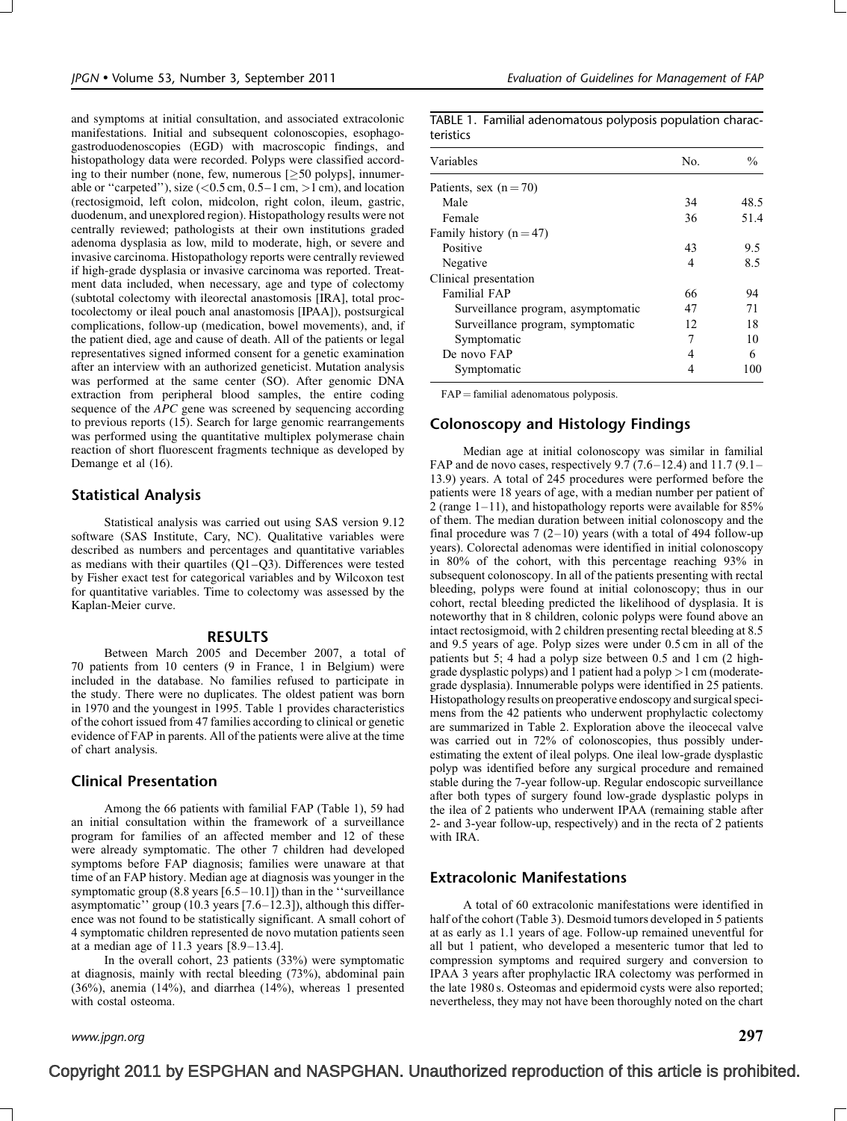and symptoms at initial consultation, and associated extracolonic manifestations. Initial and subsequent colonoscopies, esophagogastroduodenoscopies (EGD) with macroscopic findings, and histopathology data were recorded. Polyps were classified according to their number (none, few, numerous  $\approx$  50 polyps], innumerable or "carpeted"), size  $(< 0.5$  cm,  $0.5-1$  cm,  $> 1$  cm), and location (rectosigmoid, left colon, midcolon, right colon, ileum, gastric, duodenum, and unexplored region). Histopathology results were not centrally reviewed; pathologists at their own institutions graded adenoma dysplasia as low, mild to moderate, high, or severe and invasive carcinoma. Histopathology reports were centrally reviewed if high-grade dysplasia or invasive carcinoma was reported. Treatment data included, when necessary, age and type of colectomy (subtotal colectomy with ileorectal anastomosis [IRA], total proctocolectomy or ileal pouch anal anastomosis [IPAA]), postsurgical complications, follow-up (medication, bowel movements), and, if the patient died, age and cause of death. All of the patients or legal representatives signed informed consent for a genetic examination after an interview with an authorized geneticist. Mutation analysis was performed at the same center (SO). After genomic DNA extraction from peripheral blood samples, the entire coding sequence of the *APC* gene was screened by sequencing according to previous reports (15). Search for large genomic rearrangements was performed using the quantitative multiplex polymerase chain reaction of short fluorescent fragments technique as developed by Demange et al (16).

## Statistical Analysis

Statistical analysis was carried out using SAS version 9.12 software (SAS Institute, Cary, NC). Qualitative variables were described as numbers and percentages and quantitative variables as medians with their quartiles  $(Q1-Q3)$ . Differences were tested by Fisher exact test for categorical variables and by Wilcoxon test for quantitative variables. Time to colectomy was assessed by the Kaplan-Meier curve.

#### RESULTS

Between March 2005 and December 2007, a total of 70 patients from 10 centers (9 in France, 1 in Belgium) were included in the database. No families refused to participate in the study. There were no duplicates. The oldest patient was born in 1970 and the youngest in 1995. Table 1 provides characteristics of the cohort issued from 47 families according to clinical or genetic evidence of FAP in parents. All of the patients were alive at the time of chart analysis.

### Clinical Presentation

Among the 66 patients with familial FAP (Table 1), 59 had an initial consultation within the framework of a surveillance program for families of an affected member and 12 of these were already symptomatic. The other 7 children had developed symptoms before FAP diagnosis; families were unaware at that time of an FAP history. Median age at diagnosis was younger in the symptomatic group (8.8 years [6.5–10.1]) than in the ''surveillance asymptomatic'' group (10.3 years [7.6–12.3]), although this difference was not found to be statistically significant. A small cohort of 4 symptomatic children represented de novo mutation patients seen at a median age of 11.3 years [8.9–13.4].

In the overall cohort, 23 patients (33%) were symptomatic at diagnosis, mainly with rectal bleeding (73%), abdominal pain (36%), anemia (14%), and diarrhea (14%), whereas 1 presented with costal osteoma.

TABLE 1. Familial adenomatous polyposis population characteristics

| Variables                          | No. | $\frac{0}{0}$ |  |
|------------------------------------|-----|---------------|--|
| Patients, sex $(n=70)$             |     |               |  |
| Male                               | 34  | 48.5          |  |
| Female                             | 36  | 51.4          |  |
| Family history $(n=47)$            |     |               |  |
| Positive                           | 43  | 9.5           |  |
| Negative                           | 4   | 8.5           |  |
| Clinical presentation              |     |               |  |
| <b>Familial FAP</b>                | 66  | 94            |  |
| Surveillance program, asymptomatic | 47  | 71            |  |
| Surveillance program, symptomatic  | 12  | 18            |  |
| Symptomatic                        | 7   | 10            |  |
| De novo FAP                        | 4   | 6             |  |
| Symptomatic                        | 4   | 100           |  |

 $FAP =$  familial adenomatous polyposis.

## Colonoscopy and Histology Findings

Median age at initial colonoscopy was similar in familial FAP and de novo cases, respectively  $9.7(7.6-12.4)$  and  $11.7(9.1-$ 13.9) years. A total of 245 procedures were performed before the patients were 18 years of age, with a median number per patient of 2 (range  $1-11$ ), and histopathology reports were available for 85% of them. The median duration between initial colonoscopy and the final procedure was  $7(2-10)$  years (with a total of 494 follow-up years). Colorectal adenomas were identified in initial colonoscopy in 80% of the cohort, with this percentage reaching 93% in subsequent colonoscopy. In all of the patients presenting with rectal bleeding, polyps were found at initial colonoscopy; thus in our cohort, rectal bleeding predicted the likelihood of dysplasia. It is noteworthy that in 8 children, colonic polyps were found above an intact rectosigmoid, with 2 children presenting rectal bleeding at 8.5 and 9.5 years of age. Polyp sizes were under 0.5 cm in all of the patients but 5; 4 had a polyp size between 0.5 and 1 cm (2 highgrade dysplastic polyps) and 1 patient had a polyp >1 cm (moderategrade dysplasia). Innumerable polyps were identified in 25 patients. Histopathology results on preoperative endoscopy and surgical specimens from the 42 patients who underwent prophylactic colectomy are summarized in Table 2. Exploration above the ileocecal valve was carried out in 72% of colonoscopies, thus possibly underestimating the extent of ileal polyps. One ileal low-grade dysplastic polyp was identified before any surgical procedure and remained stable during the 7-year follow-up. Regular endoscopic surveillance after both types of surgery found low-grade dysplastic polyps in the ilea of 2 patients who underwent IPAA (remaining stable after 2- and 3-year follow-up, respectively) and in the recta of 2 patients with IRA.

## Extracolonic Manifestations

Copyright 2011 by ESPGHAN and NASPGHAN. Unauthorized reproduction of this article is prohibited.

A total of 60 extracolonic manifestations were identified in half of the cohort (Table 3). Desmoid tumors developed in 5 patients at as early as 1.1 years of age. Follow-up remained uneventful for all but 1 patient, who developed a mesenteric tumor that led to compression symptoms and required surgery and conversion to IPAA 3 years after prophylactic IRA colectomy was performed in the late 1980 s. Osteomas and epidermoid cysts were also reported; nevertheless, they may not have been thoroughly noted on the chart

www.jpgn.org  $297$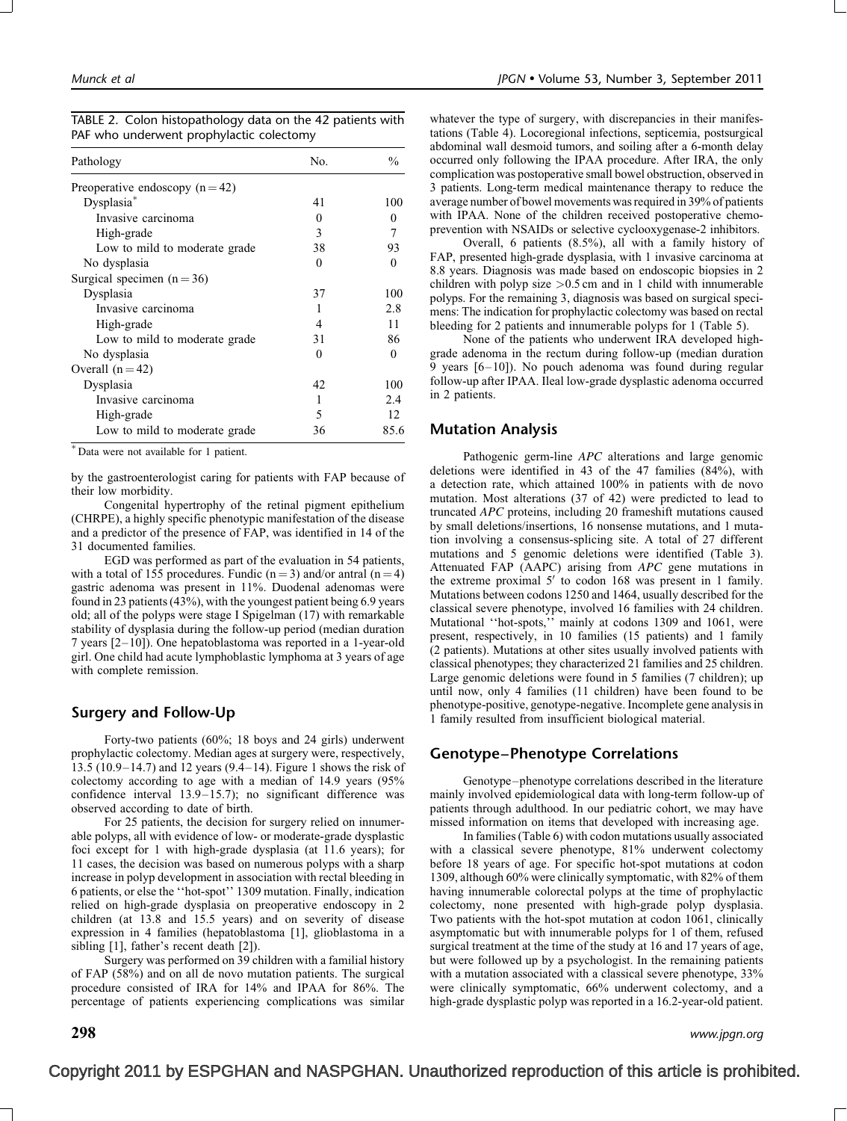| Pathology                       | No.      | $\frac{0}{0}$ |  |
|---------------------------------|----------|---------------|--|
| Preoperative endoscopy $(n=42)$ |          |               |  |
| Dysplasia*                      | 41       | 100           |  |
| Invasive carcinoma              | $\Omega$ | $\Omega$      |  |
| High-grade                      | 3        |               |  |
| Low to mild to moderate grade   | 38       | 93            |  |
| No dysplasia                    | 0        | $\Omega$      |  |
| Surgical specimen $(n=36)$      |          |               |  |
| Dysplasia                       | 37       | 100           |  |
| Invasive carcinoma              |          | 2.8           |  |
| High-grade                      | 4        | 11            |  |
| Low to mild to moderate grade   | 31       | 86            |  |
| No dysplasia                    | 0        | 0             |  |
| Overall $(n=42)$                |          |               |  |
| Dysplasia                       | 42       | 100           |  |
| Invasive carcinoma              | 1        | 2.4           |  |
| High-grade                      | 5        | 12            |  |
| Low to mild to moderate grade   | 36       | 85.6          |  |

|  | TABLE 2. Colon histopathology data on the 42 patients with |  |  |
|--|------------------------------------------------------------|--|--|
|  | PAF who underwent prophylactic colectomy                   |  |  |

Data were not available for 1 patient.

by the gastroenterologist caring for patients with FAP because of their low morbidity.

Congenital hypertrophy of the retinal pigment epithelium (CHRPE), a highly specific phenotypic manifestation of the disease and a predictor of the presence of FAP, was identified in 14 of the 31 documented families.

EGD was performed as part of the evaluation in 54 patients, with a total of 155 procedures. Fundic ( $n = 3$ ) and/or antral ( $n = 4$ ) gastric adenoma was present in 11%. Duodenal adenomas were found in 23 patients (43%), with the youngest patient being 6.9 years old; all of the polyps were stage I Spigelman (17) with remarkable stability of dysplasia during the follow-up period (median duration 7 years [2–10]). One hepatoblastoma was reported in a 1-year-old girl. One child had acute lymphoblastic lymphoma at 3 years of age with complete remission.

## Surgery and Follow-Up

Forty-two patients (60%; 18 boys and 24 girls) underwent prophylactic colectomy. Median ages at surgery were, respectively, 13.5 (10.9–14.7) and 12 years (9.4–14). Figure 1 shows the risk of colectomy according to age with a median of 14.9 years (95% confidence interval 13.9–15.7); no significant difference was observed according to date of birth.

For 25 patients, the decision for surgery relied on innumerable polyps, all with evidence of low- or moderate-grade dysplastic foci except for 1 with high-grade dysplasia (at 11.6 years); for 11 cases, the decision was based on numerous polyps with a sharp increase in polyp development in association with rectal bleeding in 6 patients, or else the ''hot-spot'' 1309 mutation. Finally, indication relied on high-grade dysplasia on preoperative endoscopy in 2 children (at 13.8 and 15.5 years) and on severity of disease expression in 4 families (hepatoblastoma [1], glioblastoma in a sibling [1], father's recent death [2]).

Surgery was performed on 39 children with a familial history of FAP (58%) and on all de novo mutation patients. The surgical procedure consisted of IRA for 14% and IPAA for 86%. The percentage of patients experiencing complications was similar

whatever the type of surgery, with discrepancies in their manifestations (Table 4). Locoregional infections, septicemia, postsurgical abdominal wall desmoid tumors, and soiling after a 6-month delay occurred only following the IPAA procedure. After IRA, the only complication was postoperative small bowel obstruction, observed in 3 patients. Long-term medical maintenance therapy to reduce the average number of bowel movements was required in 39% of patients with IPAA. None of the children received postoperative chemoprevention with NSAIDs or selective cyclooxygenase-2 inhibitors.

Overall, 6 patients (8.5%), all with a family history of FAP, presented high-grade dysplasia, with 1 invasive carcinoma at 8.8 years. Diagnosis was made based on endoscopic biopsies in 2 children with polyp size >0.5 cm and in 1 child with innumerable polyps. For the remaining 3, diagnosis was based on surgical specimens: The indication for prophylactic colectomy was based on rectal bleeding for 2 patients and innumerable polyps for 1 (Table 5).

None of the patients who underwent IRA developed highgrade adenoma in the rectum during follow-up (median duration 9 years [6–10]). No pouch adenoma was found during regular follow-up after IPAA. Ileal low-grade dysplastic adenoma occurred in 2 patients.

## Mutation Analysis

Pathogenic germ-line APC alterations and large genomic deletions were identified in 43 of the 47 families (84%), with a detection rate, which attained 100% in patients with de novo mutation. Most alterations (37 of 42) were predicted to lead to truncated APC proteins, including 20 frameshift mutations caused by small deletions/insertions, 16 nonsense mutations, and 1 mutation involving a consensus-splicing site. A total of 27 different mutations and 5 genomic deletions were identified (Table 3). Attenuated FAP (AAPC) arising from APC gene mutations in the extreme proximal  $5'$  to codon 168 was present in 1 family. Mutations between codons 1250 and 1464, usually described for the classical severe phenotype, involved 16 families with 24 children. Mutational ''hot-spots,'' mainly at codons 1309 and 1061, were present, respectively, in 10 families (15 patients) and 1 family (2 patients). Mutations at other sites usually involved patients with classical phenotypes; they characterized 21 families and 25 children. Large genomic deletions were found in 5 families (7 children); up until now, only 4 families (11 children) have been found to be phenotype-positive, genotype-negative. Incomplete gene analysis in 1 family resulted from insufficient biological material.

## Genotype–Phenotype Correlations

Genotype–phenotype correlations described in the literature mainly involved epidemiological data with long-term follow-up of patients through adulthood. In our pediatric cohort, we may have missed information on items that developed with increasing age.

In families (Table 6) with codon mutations usually associated with a classical severe phenotype, 81% underwent colectomy before 18 years of age. For specific hot-spot mutations at codon 1309, although 60% were clinically symptomatic, with 82% of them having innumerable colorectal polyps at the time of prophylactic colectomy, none presented with high-grade polyp dysplasia. Two patients with the hot-spot mutation at codon 1061, clinically asymptomatic but with innumerable polyps for 1 of them, refused surgical treatment at the time of the study at 16 and 17 years of age, but were followed up by a psychologist. In the remaining patients with a mutation associated with a classical severe phenotype, 33% were clinically symptomatic, 66% underwent colectomy, and a high-grade dysplastic polyp was reported in a 16.2-year-old patient.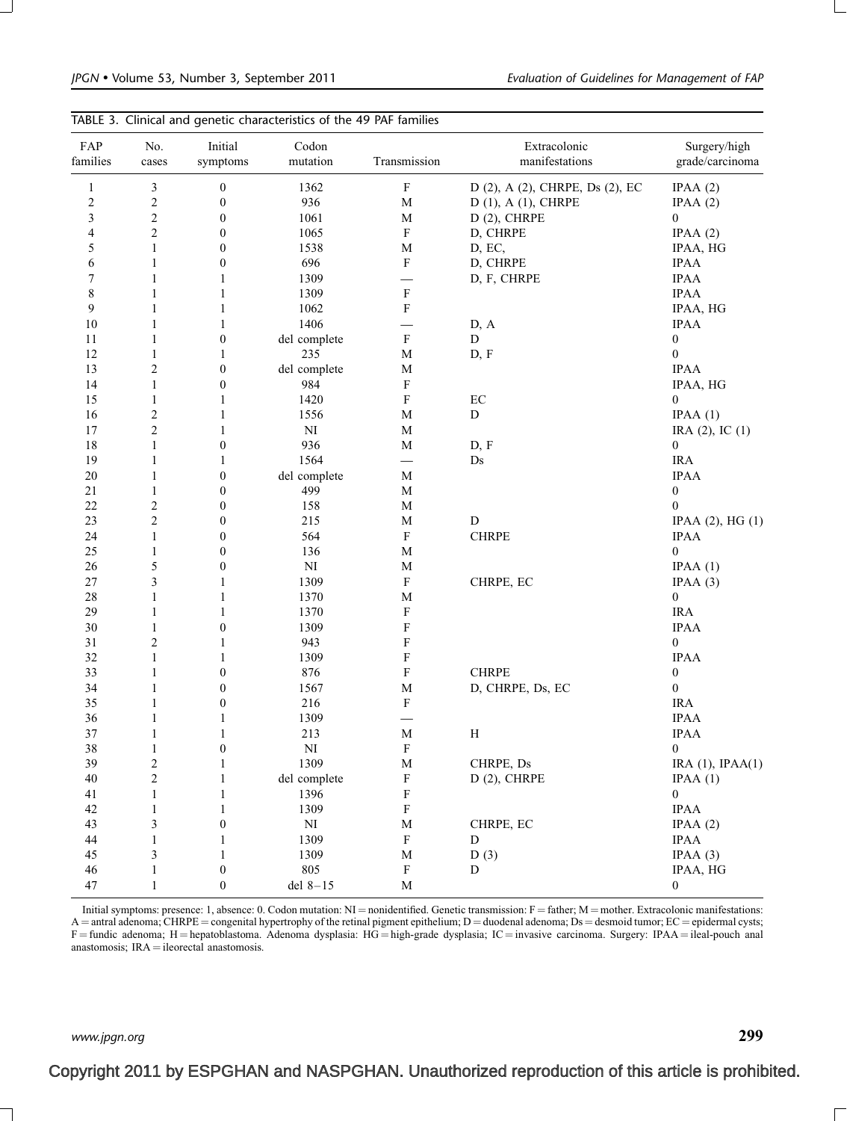| FAP<br>families          | No.<br>cases   | Initial<br>symptoms              | Codon<br>mutation      | Transmission   | Extracolonic<br>manifestations  | Surgery/high<br>grade/carcinoma      |
|--------------------------|----------------|----------------------------------|------------------------|----------------|---------------------------------|--------------------------------------|
| $\mathbf{1}$             | $\mathfrak z$  | $\boldsymbol{0}$                 | 1362                   | ${\bf F}$      | D (2), A (2), CHRPE, Ds (2), EC | IPAA(2)                              |
| $\overline{c}$           | $\sqrt{2}$     | $\boldsymbol{0}$                 | 936                    | M              | $D(1)$ , A $(1)$ , CHRPE        | IPAA $(2)$                           |
| $\mathfrak{Z}$           | $\sqrt{2}$     | $\boldsymbol{0}$                 | 1061                   | $\mathbf M$    | $D(2)$ , CHRPE                  | $\bf{0}$                             |
| $\overline{\mathcal{L}}$ | $\sqrt{2}$     | $\boldsymbol{0}$                 | 1065                   | ${\bf F}$      | D, CHRPE                        | IPAA(2)                              |
| 5                        | $\mathbf{1}$   | $\boldsymbol{0}$                 | 1538                   | $\mathbf M$    | D, EC,                          | IPAA, HG                             |
| 6                        | $\mathbf{1}$   | $\boldsymbol{0}$                 | 696                    | $\rm F$        | D, CHRPE                        | <b>IPAA</b>                          |
| 7                        | $\mathbf{1}$   | $\mathbf{1}$                     | 1309                   | —              | D, F, CHRPE                     | <b>IPAA</b>                          |
| $\,8\,$                  | $\mathbf{1}$   | $\mathbf{1}$                     | 1309                   | ${\rm F}$      |                                 | <b>IPAA</b>                          |
| 9                        | $\mathbf{1}$   | $\mathbf{1}$                     | 1062                   | ${\rm F}$      |                                 | IPAA, HG                             |
| 10                       | $\mathbf{1}$   | $\mathbf{1}$                     | 1406                   |                | D, A                            | <b>IPAA</b>                          |
| 11                       | $\mathbf{1}$   | $\boldsymbol{0}$                 | del complete           | $\rm F$        | D                               | $\boldsymbol{0}$                     |
| 12                       | $\mathbf{1}$   | $\mathbf{1}$                     | 235                    | $\mathbf M$    | D, F                            | $\boldsymbol{0}$                     |
| 13                       | $\overline{c}$ | $\boldsymbol{0}$                 | del complete           | $\mathbf M$    |                                 | <b>IPAA</b>                          |
| 14                       | $\mathbf{1}$   | $\boldsymbol{0}$                 | 984                    | ${\rm F}$      |                                 | IPAA, HG                             |
| 15                       | $\mathbf{1}$   | $\mathbf{1}$                     | 1420                   | ${\rm F}$      | $\rm EC$                        | $\boldsymbol{0}$                     |
| 16                       | $\sqrt{2}$     | $\mathbf{1}$                     | 1556                   | $\mathbf M$    | ${\bf D}$                       | IPAA(1)                              |
| 17                       | $\sqrt{2}$     | $\mathbf{1}$                     | $\mathbf{N}\mathbf{I}$ | $\mathbf M$    |                                 | IRA $(2)$ , IC $(1)$                 |
| 18                       | $\mathbf{1}$   | $\boldsymbol{0}$                 | 936                    | $\mathbf M$    | D, F                            | $\bf{0}$                             |
| 19                       | $\mathbf{1}$   | $\mathbf{1}$                     | 1564                   |                | Ds                              | <b>IRA</b>                           |
| $20\,$                   | $\mathbf{1}$   | $\boldsymbol{0}$                 | del complete           | M              |                                 | <b>IPAA</b>                          |
| $21\,$                   | $\mathbf{1}$   | $\boldsymbol{0}$                 | 499                    | $\mathbf M$    |                                 | $\boldsymbol{0}$                     |
| 22                       | $\sqrt{2}$     | $\boldsymbol{0}$                 | 158                    | $\mathbf M$    |                                 | $\theta$                             |
| 23                       | $\sqrt{2}$     | $\boldsymbol{0}$                 | 215                    | $\mathbf M$    | ${\bf D}$                       | IPAA $(2)$ , HG $(1)$                |
| 24                       | $\mathbf{1}$   | $\boldsymbol{0}$                 | 564                    | $\mathbf F$    | <b>CHRPE</b>                    | <b>IPAA</b>                          |
| 25                       | 1              | $\boldsymbol{0}$                 | 136                    | $\mathbf M$    |                                 | $\bf{0}$                             |
| 26                       | $\sqrt{5}$     | $\boldsymbol{0}$                 | $\rm{NI}$              | $\mathbf M$    |                                 | IPAA(1)                              |
| $27\,$                   | $\mathfrak{Z}$ | $\mathbf{1}$                     | 1309                   | ${\bf F}$      | CHRPE, EC                       | IPAA(3)                              |
| $28\,$                   | $\mathbf{1}$   | $\mathbf{1}$                     | 1370                   | M              |                                 | $\boldsymbol{0}$                     |
| 29                       |                | $\mathbf{1}$                     | 1370                   | F              |                                 | <b>IRA</b>                           |
| 30                       | 1              |                                  | 1309                   |                |                                 |                                      |
| 31                       | $\mathbf{1}$   | $\boldsymbol{0}$<br>$\mathbf{1}$ | 943                    | F<br>${\rm F}$ |                                 | <b>IPAA</b><br>$\boldsymbol{0}$      |
| 32                       | $\overline{c}$ |                                  |                        |                |                                 |                                      |
|                          | $\mathbf{1}$   | $\mathbf{1}$                     | 1309                   | ${\rm F}$      | <b>CHRPE</b>                    | <b>IPAA</b>                          |
| 33                       | $\mathbf{1}$   | $\boldsymbol{0}$                 | 876                    | $\mathbf F$    |                                 | $\boldsymbol{0}$<br>$\boldsymbol{0}$ |
| 34                       | $\mathbf{1}$   | $\boldsymbol{0}$                 | 1567                   | $\mathbf M$    | D, CHRPE, Ds, EC                |                                      |
| 35                       | 1              | $\boldsymbol{0}$                 | 216                    | F              |                                 | <b>IRA</b>                           |
| 36                       | $\mathbf{1}$   | $\mathbf{1}$                     | 1309                   |                |                                 | <b>IPAA</b>                          |
| 37                       | $\mathbf{1}$   | $\mathbf{1}$                     | 213                    | M              | $\boldsymbol{H}$                | <b>IPAA</b>                          |
| 38                       | $\mathbf{1}$   | $\boldsymbol{0}$                 | $\mathbf{N}\mathbf{I}$ | $\mathbf F$    |                                 | $\boldsymbol{0}$                     |
| 39                       | $\sqrt{2}$     | $\mathbf{1}$                     | 1309                   | $\mathbf M$    | CHRPE, Ds                       | IRA $(1)$ , IPAA $(1)$               |
| $40\,$                   | $\overline{c}$ | $\mathbf{1}$                     | del complete           | ${\rm F}$      | $D(2)$ , CHRPE                  | IPAA(1)                              |
| 41                       | $\mathbf{1}$   | 1                                | 1396                   | F              |                                 | $\boldsymbol{0}$                     |
| 42                       | $\mathbf{1}$   | $\mathbf{1}$                     | 1309                   | ${\rm F}$      |                                 | <b>IPAA</b>                          |
| 43                       | $\mathfrak z$  | $\boldsymbol{0}$                 | $\mathbf{N}\mathbf{I}$ | $\mathbf M$    | CHRPE, EC                       | IPAA $(2)$                           |
| 44                       | $\mathbf{1}$   | $\mathbf{1}$                     | 1309                   | ${\bf F}$      | D                               | <b>IPAA</b>                          |
| 45                       | $\mathfrak z$  | $\mathbf{1}$                     | 1309                   | $\mathbf M$    | D(3)                            | IPAA(3)                              |
| 46                       | $\mathbf{1}$   | $\boldsymbol{0}$                 | 805                    | ${\bf F}$      | D                               | IPAA, HG                             |
| 47                       | $\mathbf{1}$   | $\boldsymbol{0}$                 | del $8-15$             | $\mathbf M$    |                                 | $\boldsymbol{0}$                     |

Initial symptoms: presence: 1, absence: 0. Codon mutation:  $NI =$  nonidentified. Genetic transmission:  $F =$  father;  $M =$  mother. Extracolonic manifestations:  $A =$  antral adenoma; CHRPE = congenital hypertrophy of the retinal pigment epithelium; D = duodenal adenoma; Ds = desmoid tumor; EC = epidermal cysts;  $F =$  fundic adenoma; H = hepatoblastoma. Adenoma dysplasia: HG = high-grade dysplasia; IC = invasive carcinoma. Surgery: IPAA = ileal-pouch anal anastomosis;  $IRA = 1$ eorectal anastomosis.

www.jpgn.org  $299$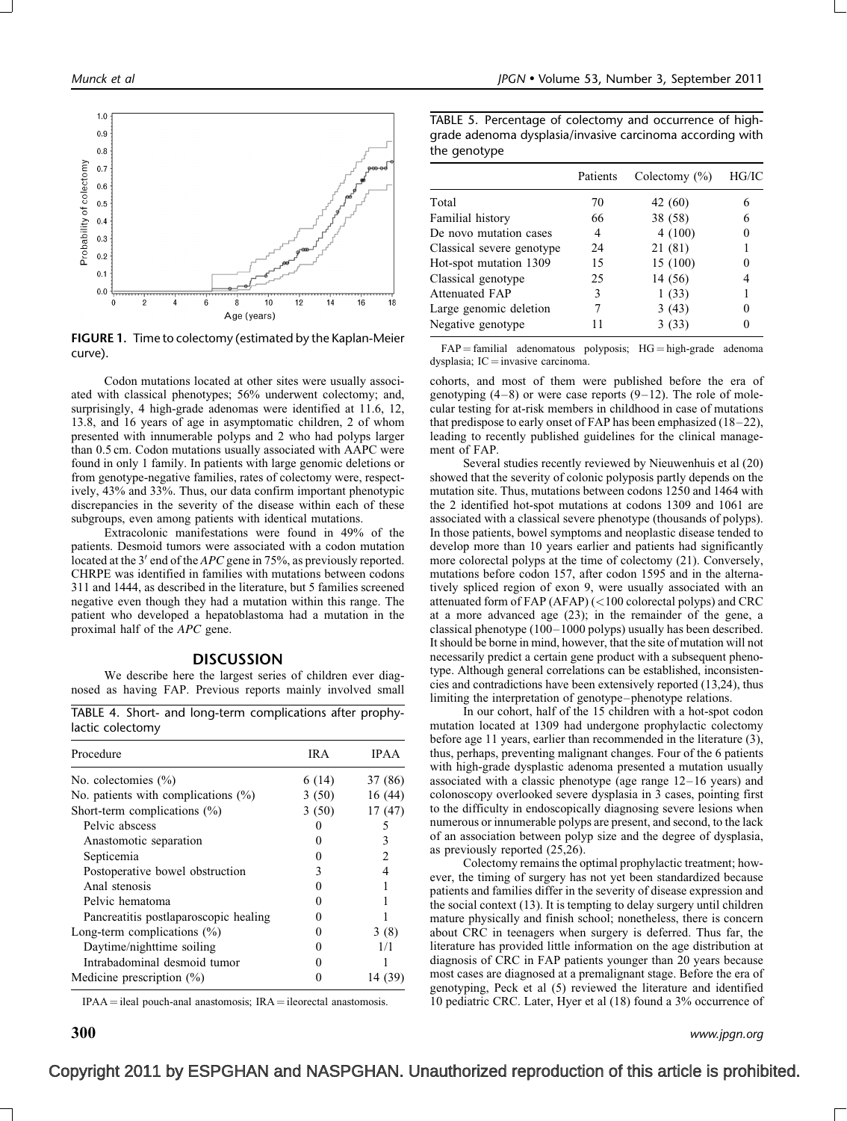

FIGURE 1. Time to colectomy (estimated by the Kaplan-Meier curve).

Codon mutations located at other sites were usually associated with classical phenotypes; 56% underwent colectomy; and, surprisingly, 4 high-grade adenomas were identified at 11.6, 12, 13.8, and 16 years of age in asymptomatic children, 2 of whom presented with innumerable polyps and 2 who had polyps larger than 0.5 cm. Codon mutations usually associated with AAPC were found in only 1 family. In patients with large genomic deletions or from genotype-negative families, rates of colectomy were, respectively, 43% and 33%. Thus, our data confirm important phenotypic discrepancies in the severity of the disease within each of these subgroups, even among patients with identical mutations.

Extracolonic manifestations were found in 49% of the patients. Desmoid tumors were associated with a codon mutation located at the  $3'$  end of the  $APC$  gene in 75%, as previously reported. CHRPE was identified in families with mutations between codons 311 and 1444, as described in the literature, but 5 families screened negative even though they had a mutation within this range. The patient who developed a hepatoblastoma had a mutation in the proximal half of the APC gene.

#### **DISCUSSION**

We describe here the largest series of children ever diagnosed as having FAP. Previous reports mainly involved small

TABLE 4. Short- and long-term complications after prophylactic colectomy

| Procedure                              | IR A  | <b>IPAA</b> |
|----------------------------------------|-------|-------------|
| No. colectomies $(\% )$                | 6(14) | 37 (86)     |
| No. patients with complications $(\%)$ | 3(50) | 16(44)      |
| Short-term complications $(\%)$        | 3(50) | 17(47)      |
| Pelvic abscess                         | 0     | 5           |
| Anastomotic separation                 |       | 3           |
| Septicemia                             |       | 2           |
| Postoperative bowel obstruction        | 3     |             |
| Anal stenosis                          |       |             |
| Pelvic hematoma                        |       |             |
| Pancreatitis postlaparoscopic healing  |       |             |
| Long-term complications $(\%)$         |       | 3(8)        |
| Daytime/nighttime soiling              |       | 1/1         |
| Intrabadominal desmoid tumor           |       |             |
| Medicine prescription $(\%)$           |       | 14 (3       |

 $IPA = ideal$  pouch-anal anastomosis;  $IRA = ileorecta$  anastomosis.

TABLE 5. Percentage of colectomy and occurrence of highgrade adenoma dysplasia/invasive carcinoma according with the genotype

|                           | Patients | Colectomy $(\% )$ | HG/IC |
|---------------------------|----------|-------------------|-------|
| Total                     | 70       | 42 (60)           |       |
| Familial history          | 66       | 38 (58)           |       |
| De novo mutation cases    | 4        | 4(100)            |       |
| Classical severe genotype | 24       | 21 (81)           |       |
| Hot-spot mutation 1309    | 15       | 15 (100)          |       |
| Classical genotype        | 25       | 14 (56)           |       |
| <b>Attenuated FAP</b>     | 3        | 1(33)             |       |
| Large genomic deletion    |          | 3(43)             |       |
| Negative genotype         |          | 3(33)             |       |

 $FAP =$  familial adenomatous polyposis;  $HG =$  high-grade adenoma dysplasia;  $IC =$  invasive carcinoma.

cohorts, and most of them were published before the era of genotyping  $(4-8)$  or were case reports  $(9-12)$ . The role of molecular testing for at-risk members in childhood in case of mutations that predispose to early onset of FAP has been emphasized (18–22), leading to recently published guidelines for the clinical management of FAP.

Several studies recently reviewed by Nieuwenhuis et al (20) showed that the severity of colonic polyposis partly depends on the mutation site. Thus, mutations between codons 1250 and 1464 with the 2 identified hot-spot mutations at codons 1309 and 1061 are associated with a classical severe phenotype (thousands of polyps). In those patients, bowel symptoms and neoplastic disease tended to develop more than 10 years earlier and patients had significantly more colorectal polyps at the time of colectomy (21). Conversely, mutations before codon 157, after codon 1595 and in the alternatively spliced region of exon 9, were usually associated with an attenuated form of FAP (AFAP) (<100 colorectal polyps) and CRC at a more advanced age (23); in the remainder of the gene, a classical phenotype (100–1000 polyps) usually has been described. It should be borne in mind, however, that the site of mutation will not necessarily predict a certain gene product with a subsequent phenotype. Although general correlations can be established, inconsistencies and contradictions have been extensively reported (13,24), thus limiting the interpretation of genotype–phenotype relations.

In our cohort, half of the 15 children with a hot-spot codon mutation located at 1309 had undergone prophylactic colectomy before age 11 years, earlier than recommended in the literature (3), thus, perhaps, preventing malignant changes. Four of the 6 patients with high-grade dysplastic adenoma presented a mutation usually associated with a classic phenotype (age range 12–16 years) and colonoscopy overlooked severe dysplasia in 3 cases, pointing first to the difficulty in endoscopically diagnosing severe lesions when numerous or innumerable polyps are present, and second, to the lack of an association between polyp size and the degree of dysplasia, as previously reported (25,26).

Colectomy remains the optimal prophylactic treatment; however, the timing of surgery has not yet been standardized because patients and families differ in the severity of disease expression and the social context (13). It is tempting to delay surgery until children mature physically and finish school; nonetheless, there is concern about CRC in teenagers when surgery is deferred. Thus far, the literature has provided little information on the age distribution at diagnosis of CRC in FAP patients younger than 20 years because most cases are diagnosed at a premalignant stage. Before the era of genotyping, Peck et al (5) reviewed the literature and identified 10 pediatric CRC. Later, Hyer et al (18) found a 3% occurrence of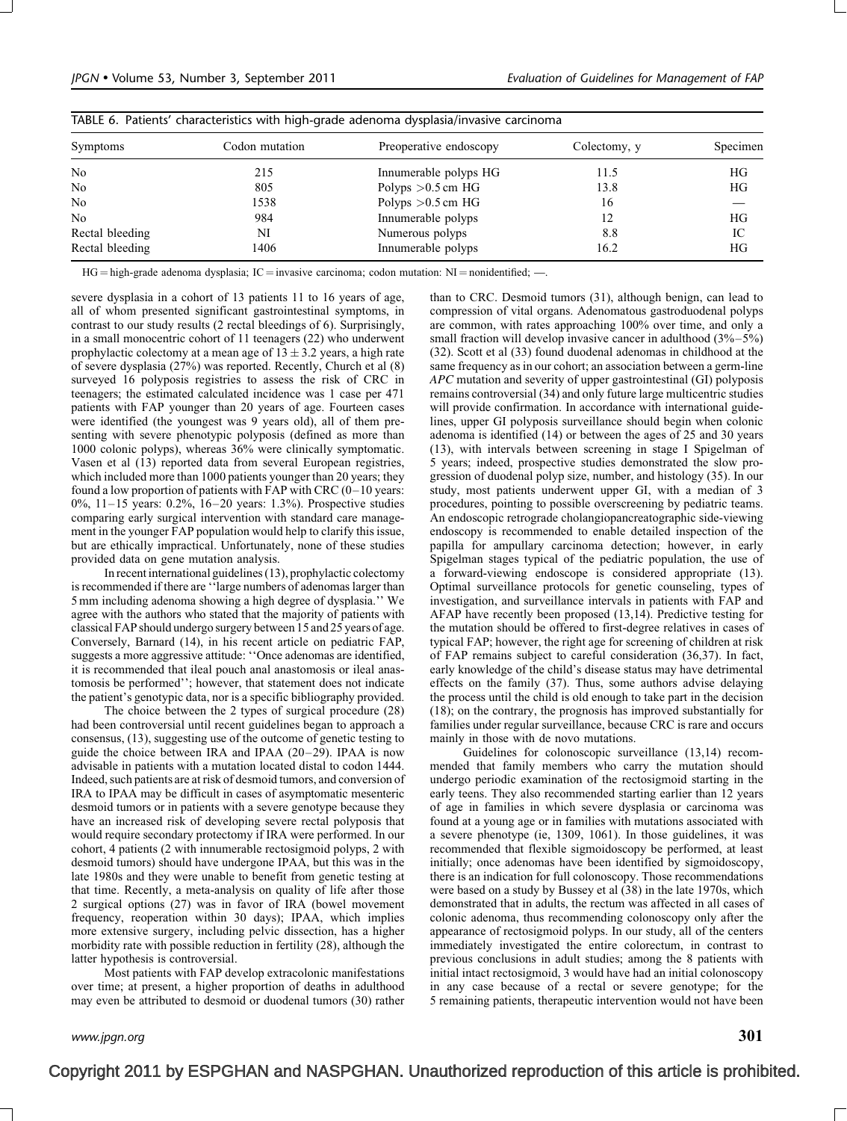| TABLE 6. Patients' characteristics with high-grade adenoma dysplasia/invasive carcinoma |                |                        |              |          |  |  |
|-----------------------------------------------------------------------------------------|----------------|------------------------|--------------|----------|--|--|
| <b>Symptoms</b>                                                                         | Codon mutation | Preoperative endoscopy | Colectomy, y | Specimen |  |  |
| N <sub>o</sub>                                                                          | 215            | Innumerable polyps HG  | 11.5         | НG       |  |  |
| N <sub>o</sub>                                                                          | 805            | Polyps $>0.5$ cm HG    | 13.8         | HG       |  |  |
| N <sub>o</sub>                                                                          | 1538           | Polyps $>0.5$ cm HG    | 16           |          |  |  |
| N <sub>0</sub>                                                                          | 984            | Innumerable polyps     | 12           | HG       |  |  |
| Rectal bleeding                                                                         | NI             | Numerous polyps        | 8.8          | IC       |  |  |
| Rectal bleeding                                                                         | 1406           | Innumerable polyps     | 16.2         | ΗG       |  |  |

| TABLE 6. Patients' characteristics with high-grade adenoma dysplasia/invasive carcinoma |  |  |  |  |  |  |
|-----------------------------------------------------------------------------------------|--|--|--|--|--|--|
|-----------------------------------------------------------------------------------------|--|--|--|--|--|--|

 $HG = high-grade adenoma dysplasia; IC = invasive carcinoma; codon mutation: NI = nonidentified; -...$ 

severe dysplasia in a cohort of 13 patients 11 to 16 years of age, all of whom presented significant gastrointestinal symptoms, in contrast to our study results (2 rectal bleedings of 6). Surprisingly, in a small monocentric cohort of 11 teenagers (22) who underwent prophylactic colectomy at a mean age of  $13 \pm 3.2$  years, a high rate of severe dysplasia (27%) was reported. Recently, Church et al (8) surveyed 16 polyposis registries to assess the risk of CRC in teenagers; the estimated calculated incidence was 1 case per 471 patients with FAP younger than 20 years of age. Fourteen cases were identified (the youngest was 9 years old), all of them presenting with severe phenotypic polyposis (defined as more than 1000 colonic polyps), whereas 36% were clinically symptomatic. Vasen et al (13) reported data from several European registries, which included more than 1000 patients younger than 20 years; they found a low proportion of patients with FAP with CRC (0–10 years: 0%, 11–15 years: 0.2%, 16–20 years: 1.3%). Prospective studies comparing early surgical intervention with standard care management in the younger FAP population would help to clarify this issue, but are ethically impractical. Unfortunately, none of these studies provided data on gene mutation analysis.

In recent international guidelines (13), prophylactic colectomy is recommended if there are ''large numbers of adenomas larger than 5 mm including adenoma showing a high degree of dysplasia.'' We agree with the authors who stated that the majority of patients with classical FAP should undergo surgery between 15 and 25 years of age. Conversely, Barnard (14), in his recent article on pediatric FAP, suggests a more aggressive attitude: ''Once adenomas are identified, it is recommended that ileal pouch anal anastomosis or ileal anastomosis be performed''; however, that statement does not indicate the patient's genotypic data, nor is a specific bibliography provided.

The choice between the 2 types of surgical procedure (28) had been controversial until recent guidelines began to approach a consensus, (13), suggesting use of the outcome of genetic testing to guide the choice between IRA and IPAA (20–29). IPAA is now advisable in patients with a mutation located distal to codon 1444. Indeed, such patients are at risk of desmoid tumors, and conversion of IRA to IPAA may be difficult in cases of asymptomatic mesenteric desmoid tumors or in patients with a severe genotype because they have an increased risk of developing severe rectal polyposis that would require secondary protectomy if IRA were performed. In our cohort, 4 patients (2 with innumerable rectosigmoid polyps, 2 with desmoid tumors) should have undergone IPAA, but this was in the late 1980s and they were unable to benefit from genetic testing at that time. Recently, a meta-analysis on quality of life after those 2 surgical options (27) was in favor of IRA (bowel movement frequency, reoperation within 30 days); IPAA, which implies more extensive surgery, including pelvic dissection, has a higher morbidity rate with possible reduction in fertility (28), although the latter hypothesis is controversial.

Most patients with FAP develop extracolonic manifestations over time; at present, a higher proportion of deaths in adulthood may even be attributed to desmoid or duodenal tumors (30) rather

than to CRC. Desmoid tumors (31), although benign, can lead to compression of vital organs. Adenomatous gastroduodenal polyps are common, with rates approaching 100% over time, and only a small fraction will develop invasive cancer in adulthood  $(3\% - 5\%)$ (32). Scott et al (33) found duodenal adenomas in childhood at the same frequency as in our cohort; an association between a germ-line APC mutation and severity of upper gastrointestinal (GI) polyposis remains controversial (34) and only future large multicentric studies will provide confirmation. In accordance with international guidelines, upper GI polyposis surveillance should begin when colonic adenoma is identified (14) or between the ages of 25 and 30 years (13), with intervals between screening in stage I Spigelman of 5 years; indeed, prospective studies demonstrated the slow progression of duodenal polyp size, number, and histology (35). In our study, most patients underwent upper GI, with a median of 3 procedures, pointing to possible overscreening by pediatric teams. An endoscopic retrograde cholangiopancreatographic side-viewing endoscopy is recommended to enable detailed inspection of the papilla for ampullary carcinoma detection; however, in early Spigelman stages typical of the pediatric population, the use of a forward-viewing endoscope is considered appropriate (13). Optimal surveillance protocols for genetic counseling, types of investigation, and surveillance intervals in patients with FAP and AFAP have recently been proposed (13,14). Predictive testing for the mutation should be offered to first-degree relatives in cases of typical FAP; however, the right age for screening of children at risk of FAP remains subject to careful consideration (36,37). In fact, early knowledge of the child's disease status may have detrimental effects on the family (37). Thus, some authors advise delaying the process until the child is old enough to take part in the decision (18); on the contrary, the prognosis has improved substantially for families under regular surveillance, because CRC is rare and occurs mainly in those with de novo mutations.

Guidelines for colonoscopic surveillance (13,14) recommended that family members who carry the mutation should undergo periodic examination of the rectosigmoid starting in the early teens. They also recommended starting earlier than 12 years of age in families in which severe dysplasia or carcinoma was found at a young age or in families with mutations associated with a severe phenotype (ie, 1309, 1061). In those guidelines, it was recommended that flexible sigmoidoscopy be performed, at least initially; once adenomas have been identified by sigmoidoscopy, there is an indication for full colonoscopy. Those recommendations were based on a study by Bussey et al (38) in the late 1970s, which demonstrated that in adults, the rectum was affected in all cases of colonic adenoma, thus recommending colonoscopy only after the appearance of rectosigmoid polyps. In our study, all of the centers immediately investigated the entire colorectum, in contrast to previous conclusions in adult studies; among the 8 patients with initial intact rectosigmoid, 3 would have had an initial colonoscopy in any case because of a rectal or severe genotype; for the 5 remaining patients, therapeutic intervention would not have been